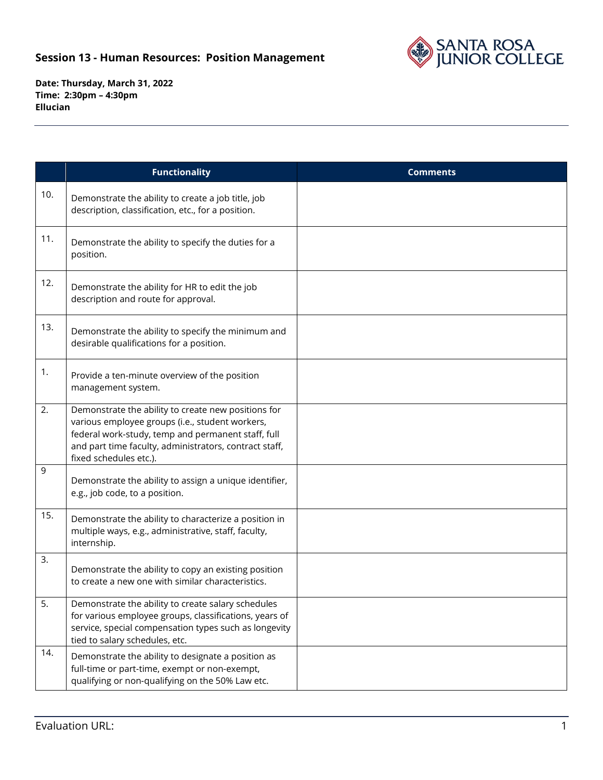## **Session 13 - Human Resources: Position Management**



**Date: Thursday, March 31, 2022 Time: 2:30pm – 4:30pm Ellucian**

|     | <b>Functionality</b>                                                                                                                                                                                                                             | <b>Comments</b> |
|-----|--------------------------------------------------------------------------------------------------------------------------------------------------------------------------------------------------------------------------------------------------|-----------------|
| 10. | Demonstrate the ability to create a job title, job<br>description, classification, etc., for a position.                                                                                                                                         |                 |
| 11. | Demonstrate the ability to specify the duties for a<br>position.                                                                                                                                                                                 |                 |
| 12. | Demonstrate the ability for HR to edit the job<br>description and route for approval.                                                                                                                                                            |                 |
| 13. | Demonstrate the ability to specify the minimum and<br>desirable qualifications for a position.                                                                                                                                                   |                 |
| 1.  | Provide a ten-minute overview of the position<br>management system.                                                                                                                                                                              |                 |
| 2.  | Demonstrate the ability to create new positions for<br>various employee groups (i.e., student workers,<br>federal work-study, temp and permanent staff, full<br>and part time faculty, administrators, contract staff,<br>fixed schedules etc.). |                 |
| 9   | Demonstrate the ability to assign a unique identifier,<br>e.g., job code, to a position.                                                                                                                                                         |                 |
| 15. | Demonstrate the ability to characterize a position in<br>multiple ways, e.g., administrative, staff, faculty,<br>internship.                                                                                                                     |                 |
| 3.  | Demonstrate the ability to copy an existing position<br>to create a new one with similar characteristics.                                                                                                                                        |                 |
| 5   | Demonstrate the ability to create salary schedules<br>for various employee groups, classifications, years of<br>service, special compensation types such as longevity<br>tied to salary schedules, etc.                                          |                 |
| 14. | Demonstrate the ability to designate a position as<br>full-time or part-time, exempt or non-exempt,<br>qualifying or non-qualifying on the 50% Law etc.                                                                                          |                 |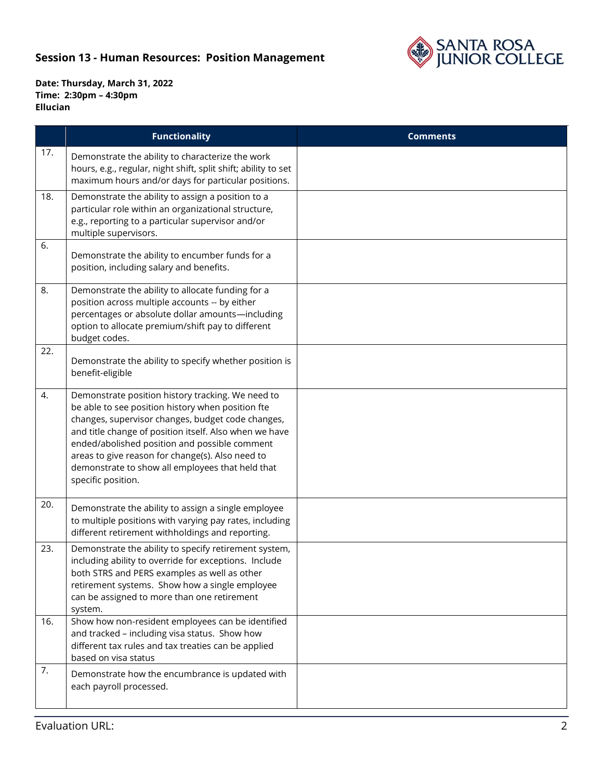## **Session 13 - Human Resources: Position Management**



**Date: Thursday, March 31, 2022 Time: 2:30pm – 4:30pm Ellucian**

|     | <b>Functionality</b>                                                                                                                                                                                                                                                                                                                                                                                 | <b>Comments</b> |
|-----|------------------------------------------------------------------------------------------------------------------------------------------------------------------------------------------------------------------------------------------------------------------------------------------------------------------------------------------------------------------------------------------------------|-----------------|
| 17. | Demonstrate the ability to characterize the work<br>hours, e.g., regular, night shift, split shift; ability to set<br>maximum hours and/or days for particular positions.                                                                                                                                                                                                                            |                 |
| 18. | Demonstrate the ability to assign a position to a<br>particular role within an organizational structure,<br>e.g., reporting to a particular supervisor and/or<br>multiple supervisors.                                                                                                                                                                                                               |                 |
| 6.  | Demonstrate the ability to encumber funds for a<br>position, including salary and benefits.                                                                                                                                                                                                                                                                                                          |                 |
| 8.  | Demonstrate the ability to allocate funding for a<br>position across multiple accounts -- by either<br>percentages or absolute dollar amounts-including<br>option to allocate premium/shift pay to different<br>budget codes.                                                                                                                                                                        |                 |
| 22. | Demonstrate the ability to specify whether position is<br>benefit-eligible                                                                                                                                                                                                                                                                                                                           |                 |
| 4.  | Demonstrate position history tracking. We need to<br>be able to see position history when position fte<br>changes, supervisor changes, budget code changes,<br>and title change of position itself. Also when we have<br>ended/abolished position and possible comment<br>areas to give reason for change(s). Also need to<br>demonstrate to show all employees that held that<br>specific position. |                 |
| 20. | Demonstrate the ability to assign a single employee<br>to multiple positions with varying pay rates, including<br>different retirement withholdings and reporting.                                                                                                                                                                                                                                   |                 |
| 23. | Demonstrate the ability to specify retirement system,<br>including ability to override for exceptions. Include<br>both STRS and PERS examples as well as other<br>retirement systems. Show how a single employee<br>can be assigned to more than one retirement<br>system.                                                                                                                           |                 |
| 16. | Show how non-resident employees can be identified<br>and tracked - including visa status. Show how<br>different tax rules and tax treaties can be applied<br>based on visa status                                                                                                                                                                                                                    |                 |
| 7.  | Demonstrate how the encumbrance is updated with<br>each payroll processed.                                                                                                                                                                                                                                                                                                                           |                 |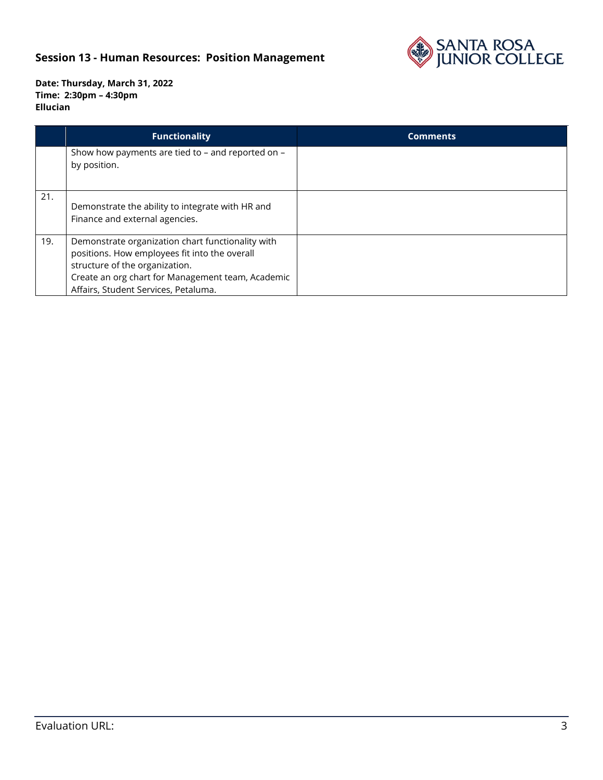## **Session 13 - Human Resources: Position Management**



**Date: Thursday, March 31, 2022 Time: 2:30pm – 4:30pm Ellucian**

|     | <b>Functionality</b>                                                                                                                                                                                                              | <b>Comments</b> |
|-----|-----------------------------------------------------------------------------------------------------------------------------------------------------------------------------------------------------------------------------------|-----------------|
|     | Show how payments are tied to - and reported on -<br>by position.                                                                                                                                                                 |                 |
| 21. | Demonstrate the ability to integrate with HR and<br>Finance and external agencies.                                                                                                                                                |                 |
| 19. | Demonstrate organization chart functionality with<br>positions. How employees fit into the overall<br>structure of the organization.<br>Create an org chart for Management team, Academic<br>Affairs, Student Services, Petaluma. |                 |